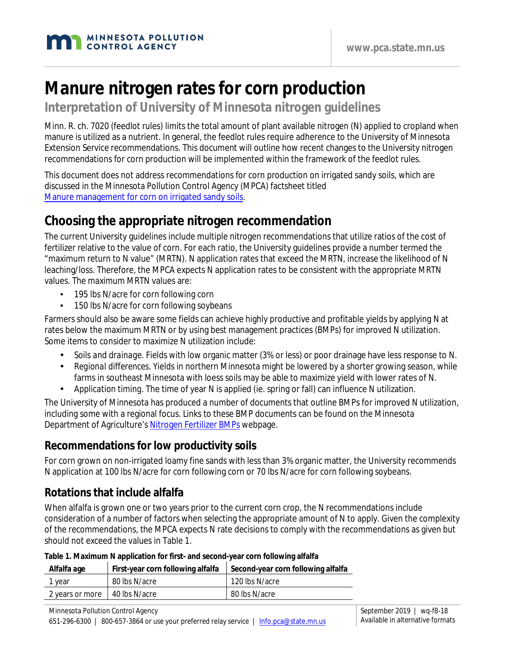# **Manure nitrogen rates for corn production**

**Interpretation of University of Minnesota nitrogen guidelines**

Minn. R. ch. 7020 (feedlot rules) limits the total amount of plant available nitrogen (N) applied to cropland when manure is utilized as a nutrient. In general, the feedlot rules require adherence to the University of Minnesota Extension Service recommendations. This document will outline how recent changes to the University nitrogen recommendations for corn production will be implemented within the framework of the feedlot rules.

This document does not address recommendations for corn production on irrigated sandy soils, which are discussed in the Minnesota Pollution Control Agency (MPCA) factsheet titled [Manure management for corn on irrigated sandy soils.](https://www.pca.state.mn.us/sites/default/files/wq-f8-52.pdf)

## **Choosing the appropriate nitrogen recommendation**

The current University guidelines include multiple nitrogen recommendations that utilize ratios of the cost of fertilizer relative to the value of corn. For each ratio, the University guidelines provide a number termed the "maximum return to N value" (MRTN). N application rates that exceed the MRTN, increase the likelihood of N leaching/loss. Therefore, the MPCA expects N application rates to be consistent with the appropriate MRTN values. The maximum MRTN values are:

- 195 lbs N/acre for corn following corn
- 150 lbs N/acre for corn following soybeans

Farmers should also be aware some fields can achieve highly productive and profitable yields by applying N at rates below the maximum MRTN or by using best management practices (BMPs) for improved N utilization. Some items to consider to maximize N utilization include:

- *Soils and drainage.* Fields with low organic matter (3% or less) or poor drainage have less response to N.
- *Regional differences.* Yields in northern Minnesota might be lowered by a shorter growing season, while farms in southeast Minnesota with loess soils may be able to maximize yield with lower rates of N.
- *Application timing.* The time of year N is applied (ie. spring or fall) can influence N utilization.

The University of Minnesota has produced a number of documents that outline BMPs for improved N utilization, including some with a regional focus. Links to these BMP documents can be found on the Minnesota Department of Agriculture's [Nitrogen Fertilizer BMPs](https://www.mda.state.mn.us/pesticide-fertilizer/nitrogen-fertilizer-best-management-practices-agricultural-lands) webpage.

## **Recommendations for low productivity soils**

For corn grown on non-irrigated loamy fine sands with less than 3% organic matter, the University recommends N application at 100 lbs N/acre for corn following corn or 70 lbs N/acre for corn following soybeans.

## **Rotations that include alfalfa**

When alfalfa is grown one or two years prior to the current corn crop, the N recommendations include consideration of a number of factors when selecting the appropriate amount of N to apply. Given the complexity of the recommendations, the MPCA expects N rate decisions to comply with the recommendations as given but should not exceed the values in Table 1.

| Alfalfa age                     | First-year corn following alfalfa | Second-year corn following alfalfa |
|---------------------------------|-----------------------------------|------------------------------------|
| 1 year                          | 80 lbs N/acre                     | 120 lbs N/acre                     |
| 2 years or more   40 lbs N/acre |                                   | 80 lbs N/acre                      |

#### **Table 1. Maximum N application for first- and second-year corn following alfalfa**